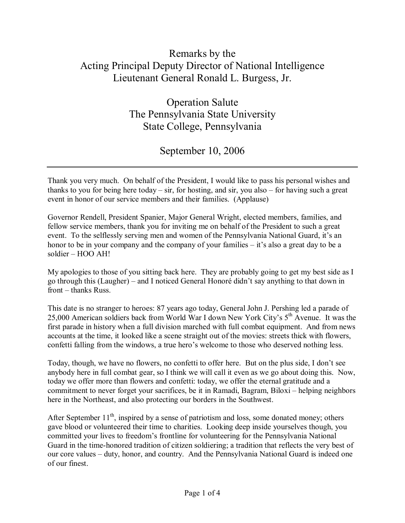## Remarks by the Acting Principal Deputy Director of National Intelligence Lieutenant General Ronald L. Burgess, Jr.

Operation Salute The Pennsylvania State University State College, Pennsylvania

September 10, 2006

Thank you very much. On behalf of the President, I would like to pass his personal wishes and thanks to you for being here today – sir, for hosting, and sir, you also – for having such a great event in honor of our service members and their families. (Applause)

Governor Rendell, President Spanier, Major General Wright, elected members, families, and fellow service members, thank you for inviting me on behalf of the President to such a great event. To the selflessly serving men and women of the Pennsylvania National Guard, it's an honor to be in your company and the company of your families  $-$  it's also a great day to be a  $s$ oldier –  $HOO AH!$ 

My apologies to those of you sitting back here. They are probably going to get my best side as I go through this (Laugher) – and I noticed General Honoré didn't say anything to that down in  $front - thanks Russ.$ 

This date is no stranger to heroes: 87 years ago today, General John J. Pershing led a parade of 25,000 American soldiers back from World War I down New York City's 5<sup>th</sup> Avenue. It was the first parade in history when a full division marched with full combat equipment. And from news accounts at the time, it looked like a scene straight out of the movies: streets thick with flowers, confetti falling from the windows, a true hero's welcome to those who deserved nothing less.

Today, though, we have no flowers, no confetti to offer here. But on the plus side, I don't see anybody here in full combat gear, so I think we will call it even as we go about doing this. Now, today we offer more than flowers and confetti: today, we offer the eternal gratitude and a commitment to never forget your sacrifices, be it in Ramadi, Bagram, Biloxi – helping neighbors here in the Northeast, and also protecting our borders in the Southwest.

After September  $11<sup>th</sup>$ , inspired by a sense of patriotism and loss, some donated money; others gave blood or volunteered their time to charities. Looking deep inside yourselves though, you committed your lives to freedom's frontline for volunteering for the Pennsylvania National Guard in the time-honored tradition of citizen soldiering; a tradition that reflects the very best of our core values – duty, honor, and country. And the Pennsylvania National Guard is indeed one of our finest.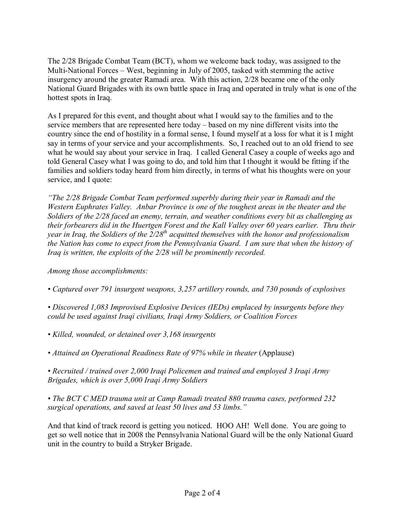The 2/28 Brigade Combat Team (BCT), whom we welcome back today, was assigned to the Multi-National Forces - West, beginning in July of 2005, tasked with stemming the active insurgency around the greater Ramadi area. With this action, 2/28 became one of the only National Guard Brigades with its own battle space in Iraq and operated in truly what is one of the hottest spots in Iraq.

As I prepared for this event, and thought about what I would say to the families and to the service members that are represented here today – based on my nine different visits into the country since the end of hostility in a formal sense, I found myself at a loss for what it is I might say in terms of your service and your accomplishments. So, I reached out to an old friend to see what he would say about your service in Iraq. I called General Casey a couple of weeks ago and told General Casey what I was going to do, and told him that I thought it would be fitting if the families and soldiers today heard from him directly, in terms of what his thoughts were on your service, and I quote:

*ìThe 2/28 Brigade Combat Team performed superbly during their year in Ramadi and the Western Euphrates Valley. Anbar Province is one of the toughest areas in the theater and the Soldiers of the 2/28 faced an enemy, terrain, and weather conditions every bit as challenging as their forbearers did in the Huertgen Forest and the Kall Valley over 60 years earlier. Thru their year in Iraq, the Soldiers of the 2/28th acquitted themselves with the honor and professionalism the Nation has come to expect from the Pennsylvania Guard. I am sure that when the history of Iraq is written, the exploits of the 2/28 will be prominently recorded.* 

*Among those accomplishments:* 

*ï Captured over 791 insurgent weapons, 3,257 artillery rounds, and 730 pounds of explosives* 

*ï Discovered 1,083 Improvised Explosive Devices (IEDs) emplaced by insurgents before they could be used against Iraqi civilians, Iraqi Army Soldiers, or Coalition Forces* 

*ï Killed, wounded, or detained over 3,168 insurgents* 

• *Attained an Operational Readiness Rate of 97% while in theater (Applause)* 

*ï Recruited / trained over 2,000 Iraqi Policemen and trained and employed 3 Iraqi Army Brigades, which is over 5,000 Iraqi Army Soldiers* 

*ï The BCT C MED trauma unit at Camp Ramadi treated 880 trauma cases, performed 232 surgical operations, and saved at least 50 lives and 53 limbs.*"

And that kind of track record is getting you noticed. HOO AH! Well done. You are going to get so well notice that in 2008 the Pennsylvania National Guard will be the only National Guard unit in the country to build a Stryker Brigade.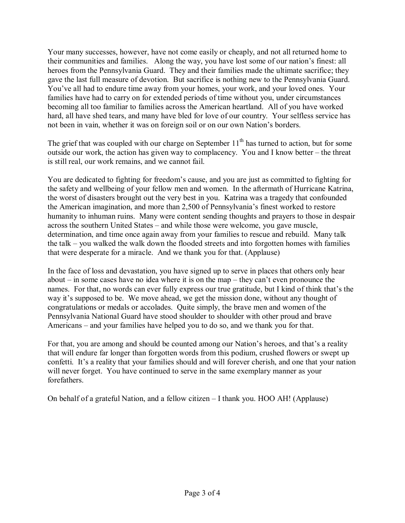Your many successes, however, have not come easily or cheaply, and not all returned home to their communities and families. Along the way, you have lost some of our nation's finest: all heroes from the Pennsylvania Guard. They and their families made the ultimate sacrifice; they gave the last full measure of devotion. But sacrifice is nothing new to the Pennsylvania Guard. You've all had to endure time away from your homes, your work, and your loved ones. Your families have had to carry on for extended periods of time without you, under circumstances becoming all too familiar to families across the American heartland. All of you have worked hard, all have shed tears, and many have bled for love of our country. Your selfless service has not been in vain, whether it was on foreign soil or on our own Nation's borders.

The grief that was coupled with our charge on September  $11<sup>th</sup>$  has turned to action, but for some outside our work, the action has given way to complacency. You and I know better  $-$  the threat is still real, our work remains, and we cannot fail.

You are dedicated to fighting for freedom's cause, and you are just as committed to fighting for the safety and wellbeing of your fellow men and women. In the aftermath of Hurricane Katrina, the worst of disasters brought out the very best in you. Katrina was a tragedy that confounded the American imagination, and more than 2,500 of Pennsylvania's finest worked to restore humanity to inhuman ruins. Many were content sending thoughts and prayers to those in despair across the southern United States – and while those were welcome, you gave muscle, determination, and time once again away from your families to rescue and rebuild. Many talk the talk  $-$  you walked the walk down the flooded streets and into forgotten homes with families that were desperate for a miracle. And we thank you for that. (Applause)

In the face of loss and devastation, you have signed up to serve in places that others only hear about  $\overline{\phantom{a}}$  in some cases have no idea where it is on the map  $\overline{\phantom{a}}$  they can't even pronounce the names. For that, no words can ever fully express our true gratitude, but I kind of think that's the way it's supposed to be. We move ahead, we get the mission done, without any thought of congratulations or medals or accolades. Quite simply, the brave men and women of the Pennsylvania National Guard have stood shoulder to shoulder with other proud and brave Americans  $-$  and your families have helped you to do so, and we thank you for that.

For that, you are among and should be counted among our Nation's heroes, and that's a reality that will endure far longer than forgotten words from this podium, crushed flowers or swept up confetti. It's a reality that your families should and will forever cherish, and one that your nation will never forget. You have continued to serve in the same exemplary manner as your forefathers.

On behalf of a grateful Nation, and a fellow citizen  $-$  I thank you. HOO AH! (Applause)